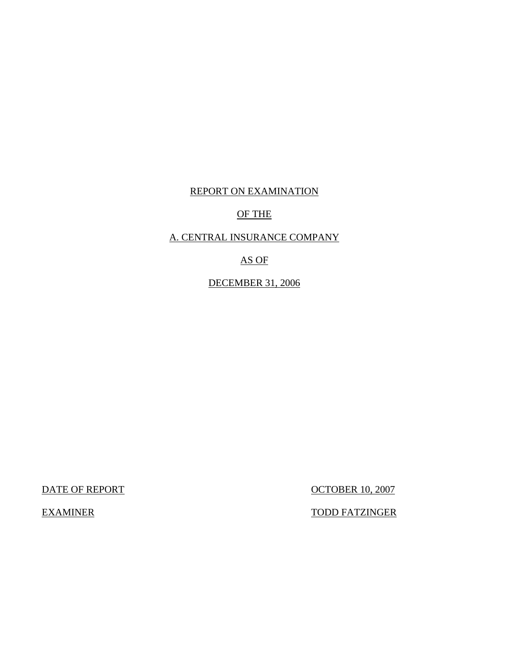# REPORT ON EXAMINATION

### OF THE

## A. CENTRAL INSURANCE COMPANY

# AS OF

# DECEMBER 31, 2006

DATE OF REPORT OCTOBER 10, 2007

EXAMINER TODD FATZINGER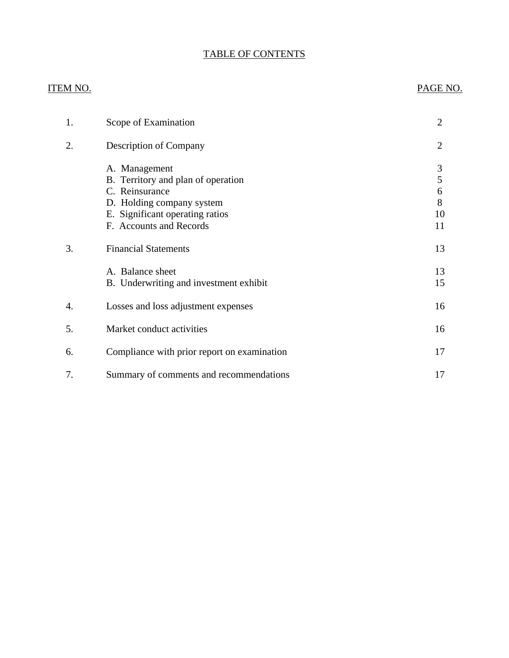# TABLE OF CONTENTS

# ITEM NO. PAGE NO.

| 1. | Scope of Examination                                                                                                                                             | $\overline{2}$               |
|----|------------------------------------------------------------------------------------------------------------------------------------------------------------------|------------------------------|
| 2. | Description of Company                                                                                                                                           | $\overline{2}$               |
|    | A. Management<br>B. Territory and plan of operation<br>C. Reinsurance<br>D. Holding company system<br>E. Significant operating ratios<br>F. Accounts and Records | 3<br>5<br>6<br>8<br>10<br>11 |
| 3. | <b>Financial Statements</b>                                                                                                                                      | 13                           |
|    | A. Balance sheet<br>B. Underwriting and investment exhibit                                                                                                       | 13<br>15                     |
| 4. | Losses and loss adjustment expenses                                                                                                                              | 16                           |
| 5. | Market conduct activities                                                                                                                                        | 16                           |
| 6. | Compliance with prior report on examination                                                                                                                      | 17                           |
| 7. | Summary of comments and recommendations                                                                                                                          | 17                           |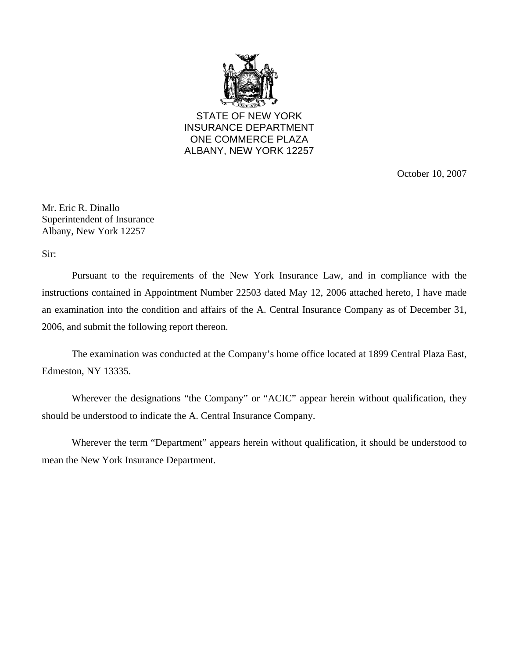

STATE OF NEW YORK INSURANCE DEPARTMENT ONE COMMERCE PLAZA ALBANY, NEW YORK 12257

October 10, 2007

Mr. Eric R. Dinallo Superintendent of Insurance Albany, New York 12257

Sir:

Pursuant to the requirements of the New York Insurance Law, and in compliance with the instructions contained in Appointment Number 22503 dated May 12, 2006 attached hereto, I have made an examination into the condition and affairs of the A. Central Insurance Company as of December 31, 2006, and submit the following report thereon.

The examination was conducted at the Company's home office located at 1899 Central Plaza East, Edmeston, NY 13335.

Wherever the designations "the Company" or "ACIC" appear herein without qualification, they should be understood to indicate the A. Central Insurance Company.

Wherever the term "Department" appears herein without qualification, it should be understood to mean the New York Insurance Department.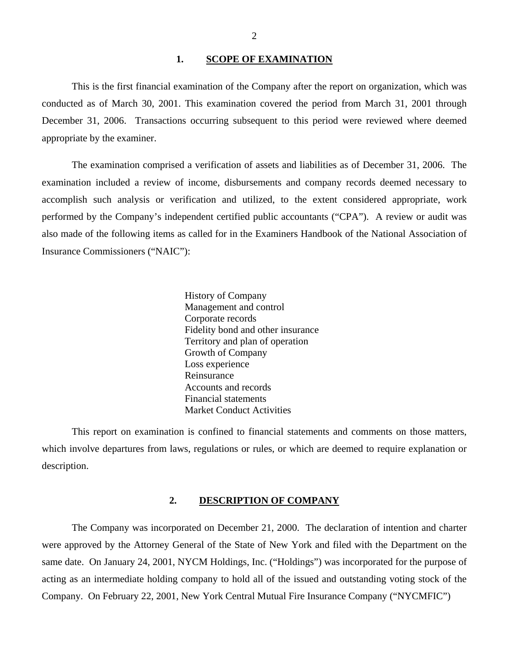#### **1. SCOPE OF EXAMINATION**

<span id="page-3-0"></span>This is the first financial examination of the Company after the report on organization, which was conducted as of March 30, 2001. This examination covered the period from March 31, 2001 through December 31, 2006. Transactions occurring subsequent to this period were reviewed where deemed appropriate by the examiner.

The examination comprised a verification of assets and liabilities as of December 31, 2006. The examination included a review of income, disbursements and company records deemed necessary to accomplish such analysis or verification and utilized, to the extent considered appropriate, work performed by the Company's independent certified public accountants ("CPA"). A review or audit was also made of the following items as called for in the Examiners Handbook of the National Association of Insurance Commissioners ("NAIC"):

> History of Company Management and control Corporate records Fidelity bond and other insurance Territory and plan of operation Growth of Company Loss experience Reinsurance Accounts and records Financial statements Market Conduct Activities

This report on examination is confined to financial statements and comments on those matters, which involve departures from laws, regulations or rules, or which are deemed to require explanation or description.

#### **2. DESCRIPTION OF COMPANY**

The Company was incorporated on December 21, 2000. The declaration of intention and charter were approved by the Attorney General of the State of New York and filed with the Department on the same date. On January 24, 2001, NYCM Holdings, Inc. ("Holdings") was incorporated for the purpose of acting as an intermediate holding company to hold all of the issued and outstanding voting stock of the Company. On February 22, 2001, New York Central Mutual Fire Insurance Company ("NYCMFIC")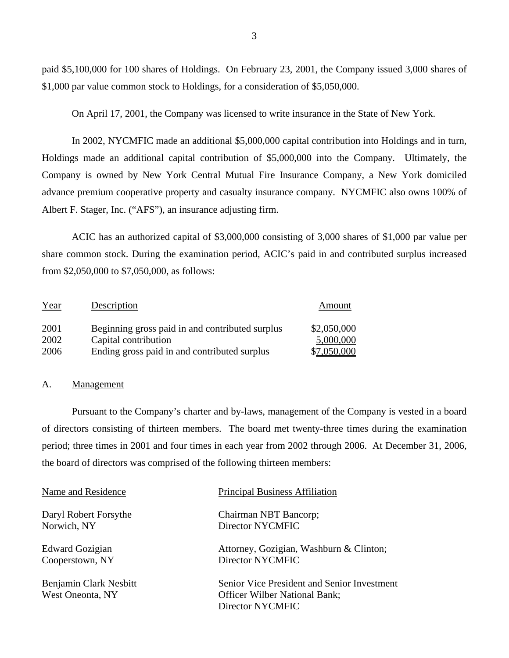paid \$5,100,000 for 100 shares of Holdings. On February 23, 2001, the Company issued 3,000 shares of \$1,000 par value common stock to Holdings, for a consideration of \$5,050,000.

On April 17, 2001, the Company was licensed to write insurance in the State of New York.

In 2002, NYCMFIC made an additional \$5,000,000 capital contribution into Holdings and in turn, Holdings made an additional capital contribution of \$5,000,000 into the Company. Ultimately, the Company is owned by New York Central Mutual Fire Insurance Company, a New York domiciled advance premium cooperative property and casualty insurance company. NYCMFIC also owns 100% of Albert F. Stager, Inc. ("AFS"), an insurance adjusting firm.

ACIC has an authorized capital of \$3,000,000 consisting of 3,000 shares of \$1,000 par value per share common stock. During the examination period, ACIC's paid in and contributed surplus increased from \$2,050,000 to \$7,050,000, as follows:

| Year | Description                                     | Amount      |
|------|-------------------------------------------------|-------------|
| 2001 | Beginning gross paid in and contributed surplus | \$2,050,000 |
| 2002 | Capital contribution                            | 5,000,000   |
| 2006 | Ending gross paid in and contributed surplus    | \$7,050,000 |

#### A. Management

Pursuant to the Company's charter and by-laws, management of the Company is vested in a board of directors consisting of thirteen members. The board met twenty-three times during the examination period; three times in 2001 and four times in each year from 2002 through 2006. At December 31, 2006, the board of directors was comprised of the following thirteen members:

| Name and Residence                         | <b>Principal Business Affiliation</b>                                                                   |
|--------------------------------------------|---------------------------------------------------------------------------------------------------------|
| Daryl Robert Forsythe                      | Chairman NBT Bancorp;                                                                                   |
| Norwich, NY                                | Director NYCMFIC                                                                                        |
| <b>Edward Gozigian</b>                     | Attorney, Gozigian, Washburn & Clinton;                                                                 |
| Cooperstown, NY                            | Director NYCMFIC                                                                                        |
| Benjamin Clark Nesbitt<br>West Oneonta, NY | Senior Vice President and Senior Investment<br><b>Officer Wilber National Bank:</b><br>Director NYCMFIC |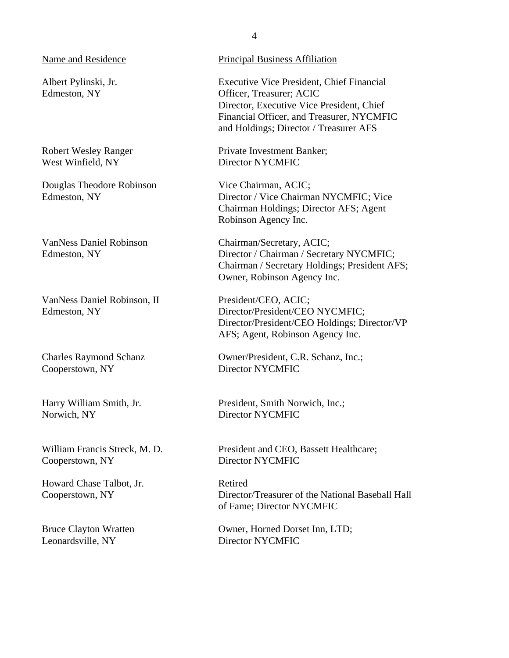Name and Residence

Albert Pylinski, Jr. Edmeston, NY

Robert Wesley Ranger West Winfield, NY

Douglas Theodore Robinson Edmeston, NY

VanNess Daniel Robinson Edmeston, NY

VanNess Daniel Robinson, II Edmeston, NY

Charles Raymond Schanz Cooperstown, NY

Harry William Smith, Jr. Norwich, NY

William Francis Streck, M. D. Cooperstown, NY

Howard Chase Talbot, Jr. Cooperstown, NY

Bruce Clayton Wratten Leonardsville, NY

Principal Business Affiliation

Executive Vice President, Chief Financial Officer, Treasurer; ACIC Director, Executive Vice President, Chief Financial Officer, and Treasurer, NYCMFIC and Holdings; Director / Treasurer AFS

Private Investment Banker; Director NYCMFIC

Vice Chairman, ACIC; Director / Vice Chairman NYCMFIC; Vice Chairman Holdings; Director AFS; Agent Robinson Agency Inc.

Chairman/Secretary, ACIC; Director / Chairman / Secretary NYCMFIC; Chairman / Secretary Holdings; President AFS; Owner, Robinson Agency Inc.

President/CEO, ACIC; Director/President/CEO NYCMFIC; Director/President/CEO Holdings; Director/VP AFS; Agent, Robinson Agency Inc.

Owner/President, C.R. Schanz, Inc.; Director NYCMFIC

President, Smith Norwich, Inc.; Director NYCMFIC

President and CEO, Bassett Healthcare; Director NYCMFIC

Retired Director/Treasurer of the National Baseball Hall of Fame; Director NYCMFIC

Owner, Horned Dorset Inn, LTD; Director NYCMFIC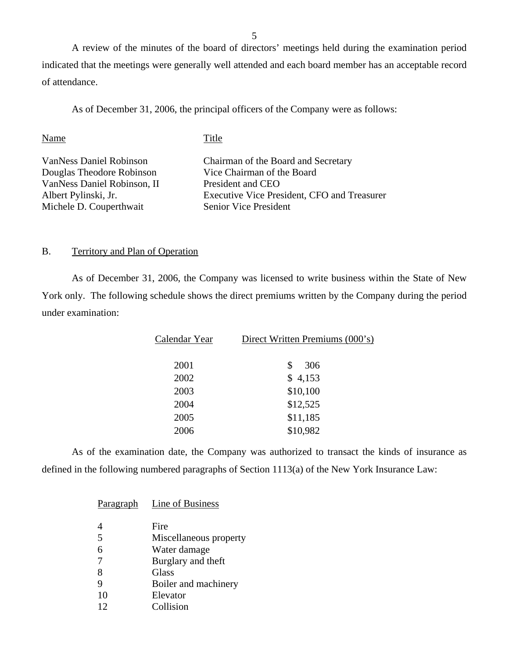A review of the minutes of the board of directors' meetings held during the examination period indicated that the meetings were generally well attended and each board member has an acceptable record of attendance.

As of December 31, 2006, the principal officers of the Company were as follows:

| Name                           | Title                                       |
|--------------------------------|---------------------------------------------|
| <b>VanNess Daniel Robinson</b> | Chairman of the Board and Secretary         |
| Douglas Theodore Robinson      | Vice Chairman of the Board                  |
| VanNess Daniel Robinson, II    | President and CEO                           |
| Albert Pylinski, Jr.           | Executive Vice President, CFO and Treasurer |
| Michele D. Couperthwait        | <b>Senior Vice President</b>                |

#### B. Territory and Plan of Operation

As of December 31, 2006, the Company was licensed to write business within the State of New York only. The following schedule shows the direct premiums written by the Company during the period under examination:

| Calendar Year | Direct Written Premiums (000's) |
|---------------|---------------------------------|
| 2001          | \$<br>306                       |
| 2002          | \$4,153                         |
| 2003          | \$10,100                        |
| 2004          | \$12,525                        |
| 2005          | \$11,185                        |
| 2006          | \$10,982                        |

As of the examination date, the Company was authorized to transact the kinds of insurance as defined in the following numbered paragraphs of Section 1113(a) of the New York Insurance Law:

| Paragraph | Line of Business       |
|-----------|------------------------|
|           | Fire                   |
| 5         | Miscellaneous property |
| 6         | Water damage           |
|           | Burglary and theft     |
| 8         | Glass                  |
|           | Boiler and machinery   |
| 10        | Elevator               |
| 12        | Collision              |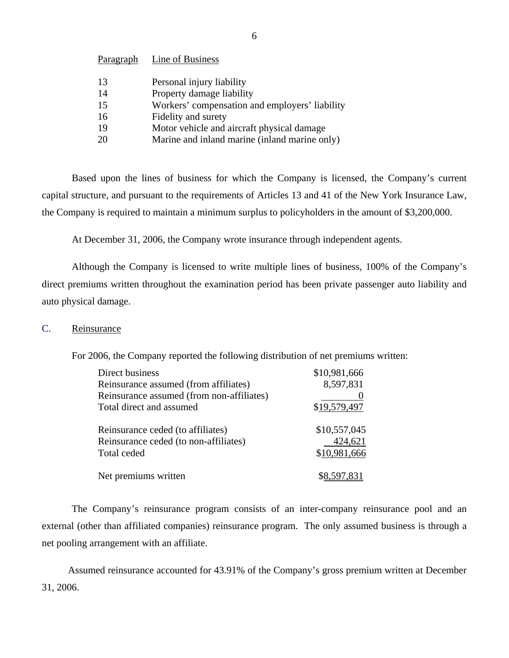<span id="page-7-0"></span>

| Paragraph | Line of Business                               |
|-----------|------------------------------------------------|
| 13        | Personal injury liability                      |
| 14        | Property damage liability                      |
| 15        | Workers' compensation and employers' liability |
| 16        | Fidelity and surety                            |
| 19        | Motor vehicle and aircraft physical damage     |
| 20        | Marine and inland marine (inland marine only)  |

Based upon the lines of business for which the Company is licensed, the Company's current capital structure, and pursuant to the requirements of Articles 13 and 41 of the New York Insurance Law, the Company is required to maintain a minimum surplus to policyholders in the amount of \$3,200,000.

At December 31, 2006, the Company wrote insurance through independent agents.

Although the Company is licensed to write multiple lines of business, 100% of the Company's direct premiums written throughout the examination period has been private passenger auto liability and auto physical damage.

#### C. Reinsurance

For 2006, the Company reported the following distribution of net premiums written:

| Direct business                           | \$10,981,666 |
|-------------------------------------------|--------------|
| Reinsurance assumed (from affiliates)     | 8,597,831    |
| Reinsurance assumed (from non-affiliates) |              |
| Total direct and assumed                  | \$19,579,497 |
| Reinsurance ceded (to affiliates)         | \$10,557,045 |
| Reinsurance ceded (to non-affiliates)     | 424,621      |
| Total ceded                               | \$10,981,666 |
| Net premiums written                      |              |

The Company's reinsurance program consists of an inter-company reinsurance pool and an external (other than affiliated companies) reinsurance program. The only assumed business is through a net pooling arrangement with an affiliate.

Assumed reinsurance accounted for 43.91% of the Company's gross premium written at December 31, 2006.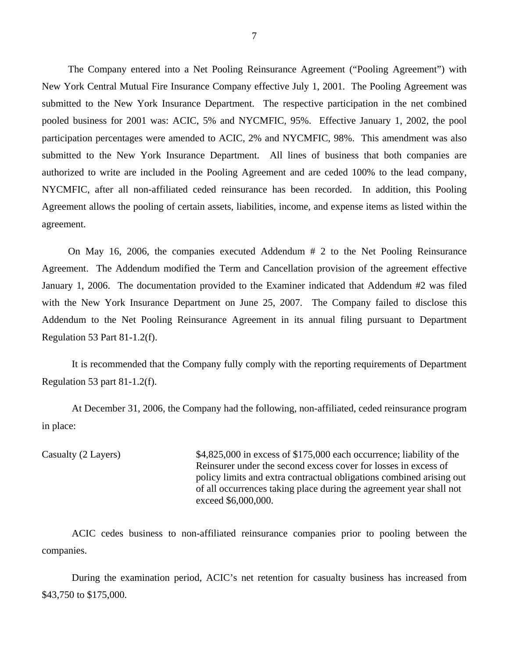The Company entered into a Net Pooling Reinsurance Agreement ("Pooling Agreement") with New York Central Mutual Fire Insurance Company effective July 1, 2001. The Pooling Agreement was submitted to the New York Insurance Department. The respective participation in the net combined pooled business for 2001 was: ACIC, 5% and NYCMFIC, 95%. Effective January 1, 2002, the pool participation percentages were amended to ACIC, 2% and NYCMFIC, 98%. This amendment was also submitted to the New York Insurance Department. All lines of business that both companies are authorized to write are included in the Pooling Agreement and are ceded 100% to the lead company, NYCMFIC, after all non-affiliated ceded reinsurance has been recorded. In addition, this Pooling Agreement allows the pooling of certain assets, liabilities, income, and expense items as listed within the agreement.

On May 16, 2006, the companies executed Addendum # 2 to the Net Pooling Reinsurance Agreement. The Addendum modified the Term and Cancellation provision of the agreement effective January 1, 2006. The documentation provided to the Examiner indicated that Addendum #2 was filed with the New York Insurance Department on June 25, 2007. The Company failed to disclose this Addendum to the Net Pooling Reinsurance Agreement in its annual filing pursuant to Department Regulation 53 Part 81-1.2(f).

It is recommended that the Company fully comply with the reporting requirements of Department Regulation 53 part 81-1.2(f).

At December 31, 2006, the Company had the following, non-affiliated, ceded reinsurance program in place:

Casualty (2 Layers)  $$4,825,000$  in excess of \$175,000 each occurrence; liability of the Reinsurer under the second excess cover for losses in excess of policy limits and extra contractual obligations combined arising out of all occurrences taking place during the agreement year shall not exceed \$6,000,000.

ACIC cedes business to non-affiliated reinsurance companies prior to pooling between the companies.

During the examination period, ACIC's net retention for casualty business has increased from \$43,750 to \$175,000.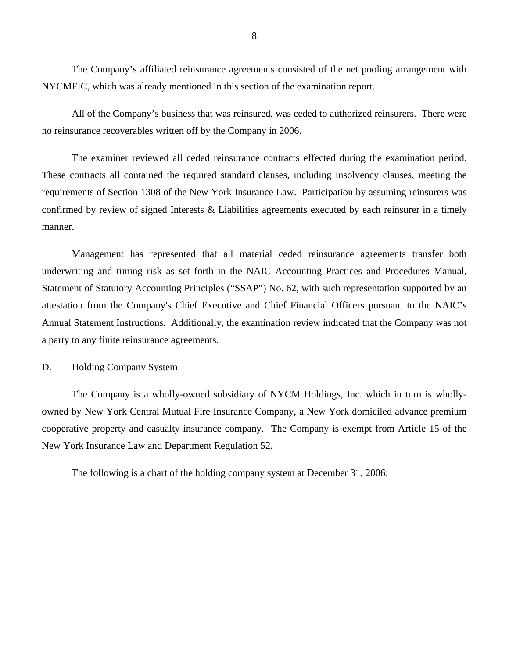<span id="page-9-0"></span>The Company's affiliated reinsurance agreements consisted of the net pooling arrangement with NYCMFIC, which was already mentioned in this section of the examination report.

All of the Company's business that was reinsured, was ceded to authorized reinsurers. There were no reinsurance recoverables written off by the Company in 2006.

The examiner reviewed all ceded reinsurance contracts effected during the examination period. These contracts all contained the required standard clauses, including insolvency clauses, meeting the requirements of Section 1308 of the New York Insurance Law. Participation by assuming reinsurers was confirmed by review of signed Interests & Liabilities agreements executed by each reinsurer in a timely manner.

Management has represented that all material ceded reinsurance agreements transfer both underwriting and timing risk as set forth in the NAIC Accounting Practices and Procedures Manual, Statement of Statutory Accounting Principles ("SSAP") No. 62, with such representation supported by an attestation from the Company's Chief Executive and Chief Financial Officers pursuant to the NAIC's Annual Statement Instructions. Additionally, the examination review indicated that the Company was not a party to any finite reinsurance agreements.

#### D. Holding Company System

The Company is a wholly-owned subsidiary of NYCM Holdings, Inc. which in turn is whollyowned by New York Central Mutual Fire Insurance Company, a New York domiciled advance premium cooperative property and casualty insurance company. The Company is exempt from Article 15 of the New York Insurance Law and Department Regulation 52.

The following is a chart of the holding company system at December 31, 2006: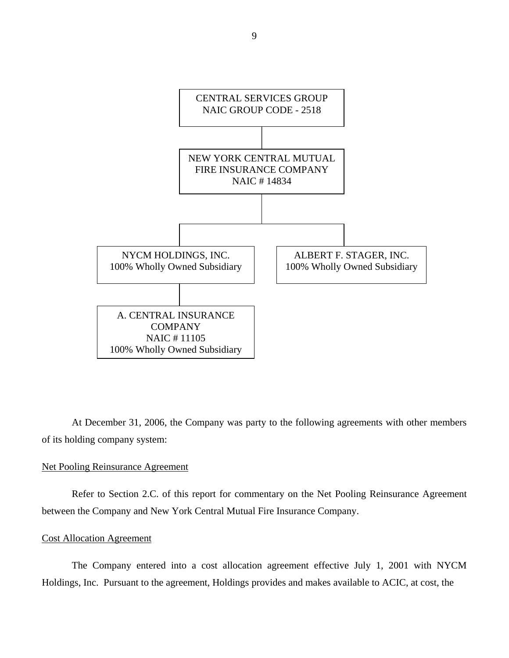

At December 31, 2006, the Company was party to the following agreements with other members of its holding company system:

#### Net Pooling Reinsurance Agreement

Refer to Section 2.C. of this report for commentary on the Net Pooling Reinsurance Agreement between the Company and New York Central Mutual Fire Insurance Company.

#### Cost Allocation Agreement

The Company entered into a cost allocation agreement effective July 1, 2001 with NYCM Holdings, Inc. Pursuant to the agreement, Holdings provides and makes available to ACIC, at cost, the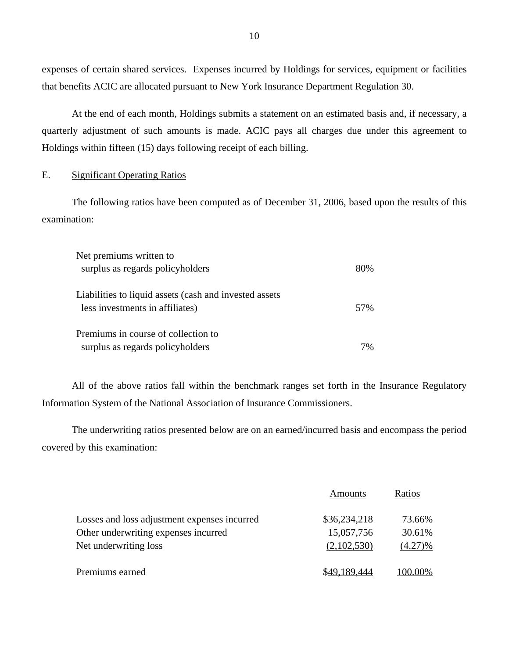expenses of certain shared services. Expenses incurred by Holdings for services, equipment or facilities that benefits ACIC are allocated pursuant to New York Insurance Department Regulation 30.

At the end of each month, Holdings submits a statement on an estimated basis and, if necessary, a quarterly adjustment of such amounts is made. ACIC pays all charges due under this agreement to Holdings within fifteen (15) days following receipt of each billing.

#### E. Significant Operating Ratios

The following ratios have been computed as of December 31, 2006, based upon the results of this examination:

| Net premiums written to                                |     |
|--------------------------------------------------------|-----|
| surplus as regards policyholders                       | 80% |
| Liabilities to liquid assets (cash and invested assets |     |
| less investments in affiliates)                        | 57% |
| Premiums in course of collection to                    |     |
| surplus as regards policyholders                       | 7%  |

All of the above ratios fall within the benchmark ranges set forth in the Insurance Regulatory Information System of the National Association of Insurance Commissioners.

The underwriting ratios presented below are on an earned/incurred basis and encompass the period covered by this examination:

|                                              | Amounts      | Ratios  |
|----------------------------------------------|--------------|---------|
| Losses and loss adjustment expenses incurred | \$36,234,218 | 73.66%  |
| Other underwriting expenses incurred         | 15,057,756   | 30.61%  |
| Net underwriting loss                        | (2,102,530)  | (4.27)% |
| Premiums earned                              | \$49.189.444 | 100.00% |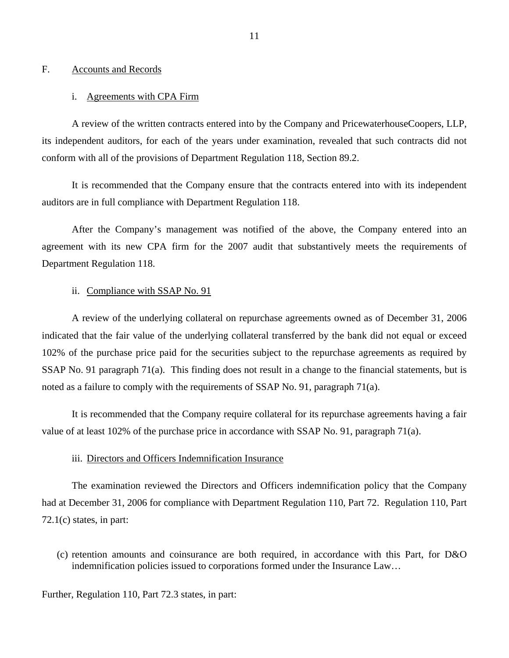#### <span id="page-12-0"></span>F. Accounts and Records

#### i. Agreements with CPA Firm

A review of the written contracts entered into by the Company and PricewaterhouseCoopers, LLP, its independent auditors, for each of the years under examination, revealed that such contracts did not conform with all of the provisions of Department Regulation 118, Section 89.2.

It is recommended that the Company ensure that the contracts entered into with its independent auditors are in full compliance with Department Regulation 118.

After the Company's management was notified of the above, the Company entered into an agreement with its new CPA firm for the 2007 audit that substantively meets the requirements of Department Regulation 118.

#### ii. Compliance with SSAP No. 91

A review of the underlying collateral on repurchase agreements owned as of December 31, 2006 indicated that the fair value of the underlying collateral transferred by the bank did not equal or exceed 102% of the purchase price paid for the securities subject to the repurchase agreements as required by SSAP No. 91 paragraph 71(a). This finding does not result in a change to the financial statements, but is noted as a failure to comply with the requirements of SSAP No. 91, paragraph 71(a).

It is recommended that the Company require collateral for its repurchase agreements having a fair value of at least 102% of the purchase price in accordance with SSAP No. 91, paragraph 71(a).

#### iii. Directors and Officers Indemnification Insurance

The examination reviewed the Directors and Officers indemnification policy that the Company had at December 31, 2006 for compliance with Department Regulation 110, Part 72. Regulation 110, Part 72.1(c) states, in part:

(c) retention amounts and coinsurance are both required, in accordance with this Part, for D&O indemnification policies issued to corporations formed under the Insurance Law…

Further, Regulation 110, Part 72.3 states, in part: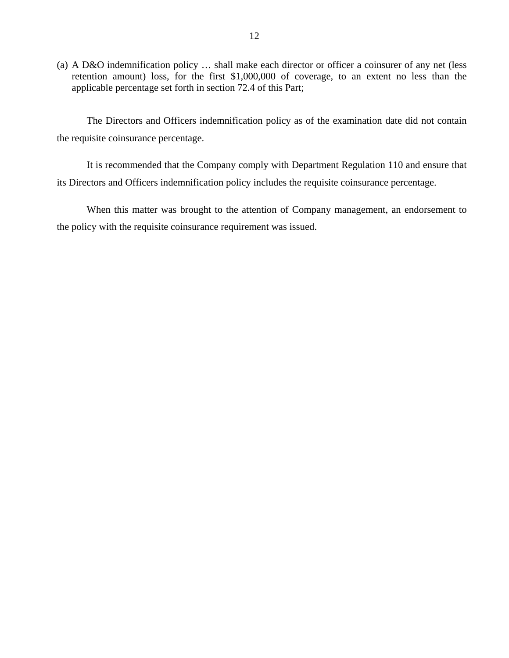(a) A D&O indemnification policy … shall make each director or officer a coinsurer of any net (less retention amount) loss, for the first \$1,000,000 of coverage, to an extent no less than the applicable percentage set forth in section 72.4 of this Part;

The Directors and Officers indemnification policy as of the examination date did not contain the requisite coinsurance percentage.

It is recommended that the Company comply with Department Regulation 110 and ensure that its Directors and Officers indemnification policy includes the requisite coinsurance percentage.

When this matter was brought to the attention of Company management, an endorsement to the policy with the requisite coinsurance requirement was issued.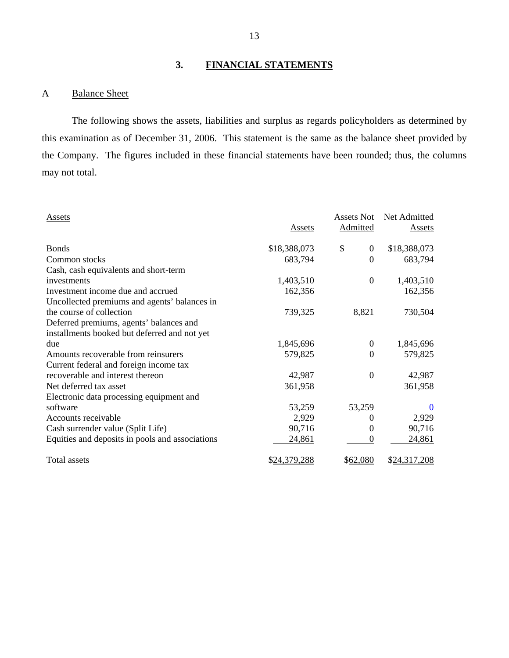# **3. FINANCIAL STATEMENTS**

### A Balance Sheet

The following shows the assets, liabilities and surplus as regards policyholders as determined by this examination as of December 31, 2006. This statement is the same as the balance sheet provided by the Company. The figures included in these financial statements have been rounded; thus, the columns may not total.

| Assets                                          | Assets       | Assets Not<br>Admitted | Net Admitted<br>Assets |
|-------------------------------------------------|--------------|------------------------|------------------------|
| <b>Bonds</b>                                    | \$18,388,073 | \$<br>$\overline{0}$   | \$18,388,073           |
| Common stocks                                   | 683,794      | $\theta$               | 683,794                |
| Cash, cash equivalents and short-term           |              |                        |                        |
| investments                                     | 1,403,510    | $\boldsymbol{0}$       | 1,403,510              |
| Investment income due and accrued               | 162,356      |                        | 162,356                |
| Uncollected premiums and agents' balances in    |              |                        |                        |
| the course of collection                        | 739,325      | 8,821                  | 730,504                |
| Deferred premiums, agents' balances and         |              |                        |                        |
| installments booked but deferred and not yet    |              |                        |                        |
| due                                             | 1,845,696    | $\mathbf{0}$           | 1,845,696              |
| Amounts recoverable from reinsurers             | 579,825      | $\Omega$               | 579,825                |
| Current federal and foreign income tax          |              |                        |                        |
| recoverable and interest thereon                | 42,987       | $\mathbf{0}$           | 42,987                 |
| Net deferred tax asset                          | 361,958      |                        | 361,958                |
| Electronic data processing equipment and        |              |                        |                        |
| software                                        | 53,259       | 53,259                 | $\theta$               |
| Accounts receivable                             | 2,929        | 0                      | 2,929                  |
| Cash surrender value (Split Life)               | 90,716       | $\theta$               | 90,716                 |
| Equities and deposits in pools and associations | 24,861       | $\theta$               | 24,861                 |
| Total assets                                    | \$24,379,288 | \$62,080               | \$24,317,208           |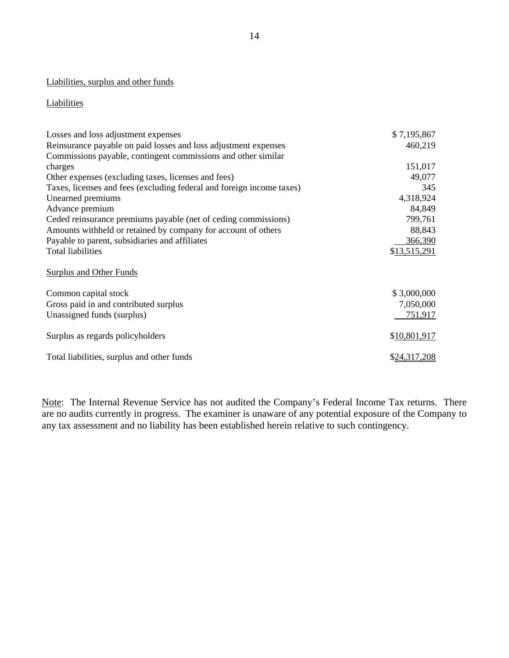#### Liabilities, surplus and other funds

#### **Liabilities**

| Losses and loss adjustment expenses                                   | \$7,195,867  |
|-----------------------------------------------------------------------|--------------|
| Reinsurance payable on paid losses and loss adjustment expenses       | 460,219      |
| Commissions payable, contingent commissions and other similar         |              |
| charges                                                               | 151,017      |
| Other expenses (excluding taxes, licenses and fees)                   | 49,077       |
| Taxes, licenses and fees (excluding federal and foreign income taxes) | 345          |
| Unearned premiums                                                     | 4,318,924    |
| Advance premium                                                       | 84,849       |
| Ceded reinsurance premiums payable (net of ceding commissions)        | 799,761      |
| Amounts withheld or retained by company for account of others         | 88,843       |
| Payable to parent, subsidiaries and affiliates                        | 366,390      |
| <b>Total liabilities</b>                                              | \$13,515,291 |
| <b>Surplus and Other Funds</b>                                        |              |
| Common capital stock                                                  | \$3,000,000  |
| Gross paid in and contributed surplus                                 | 7,050,000    |
| Unassigned funds (surplus)                                            | 751,917      |
| Surplus as regards policyholders                                      | \$10,801,917 |
| Total liabilities, surplus and other funds                            | \$24,317,208 |

Note: The Internal Revenue Service has not audited the Company's Federal Income Tax returns. There are no audits currently in progress. The examiner is unaware of any potential exposure of the Company to any tax assessment and no liability has been established herein relative to such contingency.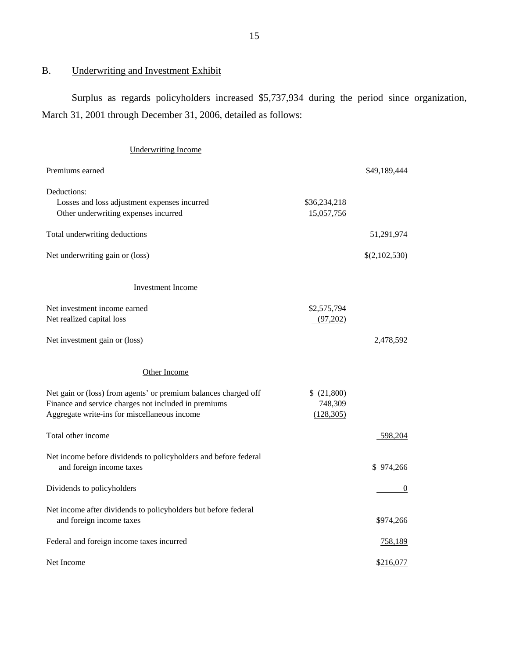# B. Underwriting and Investment Exhibit

Surplus as regards policyholders increased \$5,737,934 during the period since organization, March 31, 2001 through December 31, 2006, detailed as follows:

| <b>Underwriting Income</b>                                                                                                                                              |                                     |               |
|-------------------------------------------------------------------------------------------------------------------------------------------------------------------------|-------------------------------------|---------------|
| Premiums earned                                                                                                                                                         |                                     | \$49,189,444  |
| Deductions:<br>Losses and loss adjustment expenses incurred<br>Other underwriting expenses incurred                                                                     | \$36,234,218<br>15,057,756          |               |
| Total underwriting deductions                                                                                                                                           |                                     | 51,291,974    |
| Net underwriting gain or (loss)                                                                                                                                         |                                     | \$(2,102,530) |
| <b>Investment Income</b>                                                                                                                                                |                                     |               |
| Net investment income earned<br>Net realized capital loss                                                                                                               | \$2,575,794<br>(97,202)             |               |
| Net investment gain or (loss)                                                                                                                                           |                                     | 2,478,592     |
| Other Income                                                                                                                                                            |                                     |               |
| Net gain or (loss) from agents' or premium balances charged off<br>Finance and service charges not included in premiums<br>Aggregate write-ins for miscellaneous income | \$(21,800)<br>748,309<br>(128, 305) |               |
| Total other income                                                                                                                                                      |                                     | 598,204       |
| Net income before dividends to policyholders and before federal<br>and foreign income taxes                                                                             |                                     | \$974,266     |
| Dividends to policyholders                                                                                                                                              |                                     | $\theta$      |
| Net income after dividends to policyholders but before federal<br>and foreign income taxes                                                                              |                                     | \$974,266     |
| Federal and foreign income taxes incurred                                                                                                                               |                                     | 758,189       |
| Net Income                                                                                                                                                              |                                     | \$216,077     |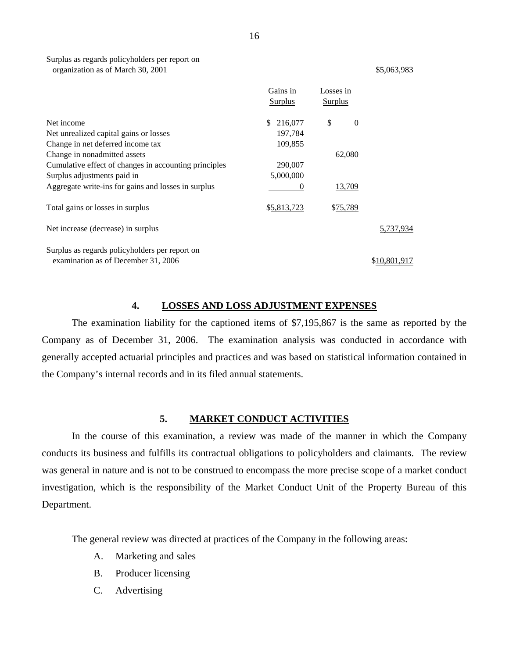<span id="page-17-0"></span>

|                                                       | Gains in<br><b>Surplus</b> | Losses in<br>Surplus |              |
|-------------------------------------------------------|----------------------------|----------------------|--------------|
| Net income                                            | 216,077<br>\$              | \$<br>$\theta$       |              |
| Net unrealized capital gains or losses                | 197,784                    |                      |              |
| Change in net deferred income tax                     | 109,855                    |                      |              |
| Change in nonadmitted assets                          |                            | 62,080               |              |
| Cumulative effect of changes in accounting principles | 290,007                    |                      |              |
| Surplus adjustments paid in                           | 5,000,000                  |                      |              |
| Aggregate write-ins for gains and losses in surplus   | $\theta$                   | 13,709               |              |
| Total gains or losses in surplus                      | \$5,813,723                | \$75,789             |              |
| Net increase (decrease) in surplus                    |                            |                      | 5,737,934    |
| Surplus as regards policyholders per report on        |                            |                      |              |
| examination as of December 31, 2006                   |                            |                      | \$10,801,917 |

#### **4. LOSSES AND LOSS ADJUSTMENT EXPENSES**

The examination liability for the captioned items of \$7,195,867 is the same as reported by the Company as of December 31, 2006. The examination analysis was conducted in accordance with generally accepted actuarial principles and practices and was based on statistical information contained in the Company's internal records and in its filed annual statements.

#### **5. MARKET CONDUCT ACTIVITIES**

In the course of this examination, a review was made of the manner in which the Company conducts its business and fulfills its contractual obligations to policyholders and claimants. The review was general in nature and is not to be construed to encompass the more precise scope of a market conduct investigation, which is the responsibility of the Market Conduct Unit of the Property Bureau of this Department.

The general review was directed at practices of the Company in the following areas:

- A. Marketing and sales
- B. Producer licensing
- C. Advertising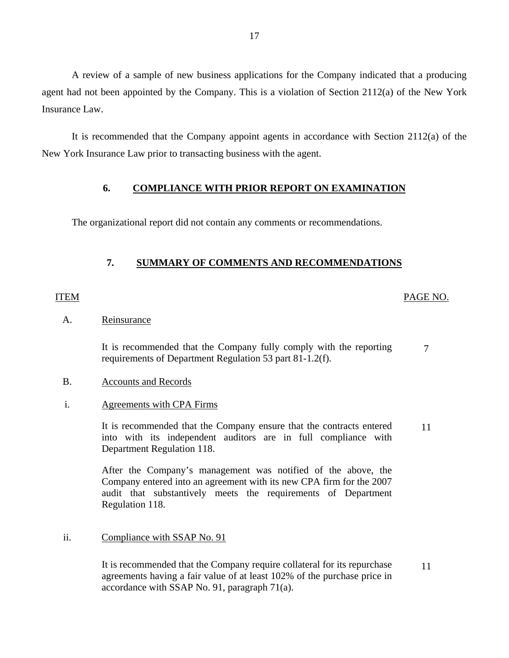A review of a sample of new business applications for the Company indicated that a producing agent had not been appointed by the Company. This is a violation of Section 2112(a) of the New York Insurance Law.

It is recommended that the Company appoint agents in accordance with Section 2112(a) of the New York Insurance Law prior to transacting business with the agent.

#### **6. COMPLIANCE WITH PRIOR REPORT ON EXAMINATION**

The organizational report did not contain any comments or recommendations.

# **7. SUMMARY OF COMMENTS AND RECOMMENDATIONS**

## ITEM PAGE NO.

#### A. Reinsurance

It is recommended that the Company fully comply with the reporting requirements of Department Regulation 53 part 81-1.2(f). 7

#### B. Accounts and Records

#### i. Agreements with CPA Firms

It is recommended that the Company ensure that the contracts entered into with its independent auditors are in full compliance with Department Regulation 118. 11

After the Company's management was notified of the above, the Company entered into an agreement with its new CPA firm for the 2007 audit that substantively meets the requirements of Department Regulation 118.

#### ii. Compliance with SSAP No. 91

It is recommended that the Company require collateral for its repurchase 11 agreements having a fair value of at least 102% of the purchase price in accordance with SSAP No. 91, paragraph 71(a).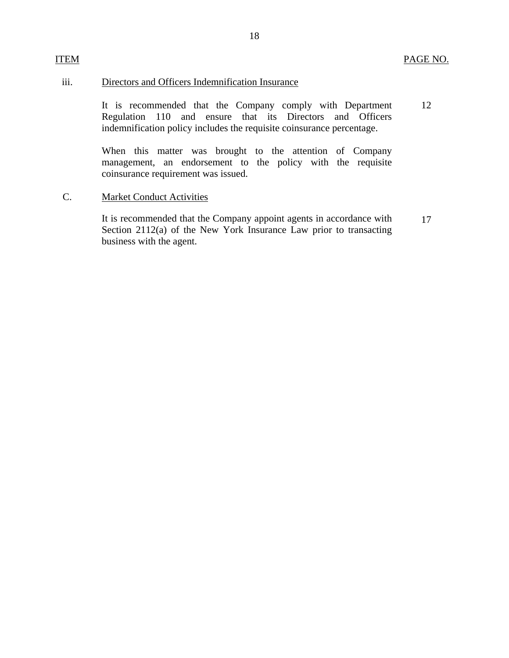#### iii. Directors and Officers Indemnification Insurance

It is recommended that the Company comply with Department Regulation 110 and ensure that its Directors and Officers indemnification policy includes the requisite coinsurance percentage. 12

When this matter was brought to the attention of Company management, an endorsement to the policy with the requisite coinsurance requirement was issued.

#### C. Market Conduct Activities

ITEM

It is recommended that the Company appoint agents in accordance with Section 2112(a) of the New York Insurance Law prior to transacting business with the agent. 17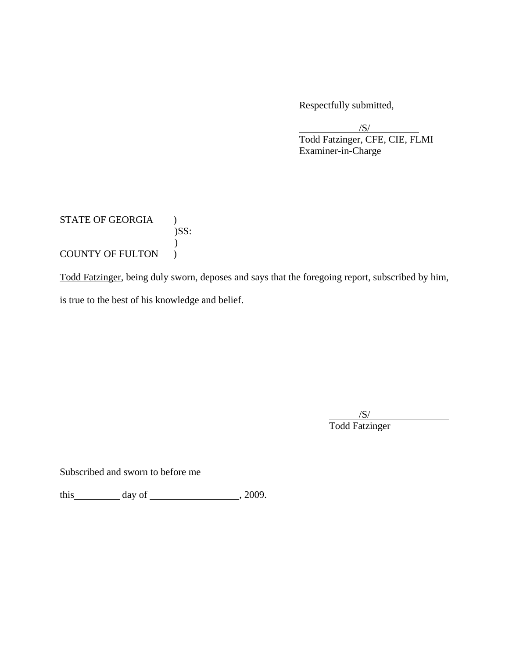Respectfully submitted,

 $\sqrt{S}$ / Todd Fatzinger, CFE, CIE, FLMI Examiner-in-Charge

STATE OF GEORGIA )  $)$ SS:  $\mathcal{L}$ COUNTY OF FULTON )

Todd Fatzinger, being duly sworn, deposes and says that the foregoing report, subscribed by him, is true to the best of his knowledge and belief.

 $\overline{\phantom{a}}$  /S/ Todd Fatzinger

Subscribed and sworn to before me

this  $\qquad \qquad$  day of  $\qquad \qquad$  , 2009.